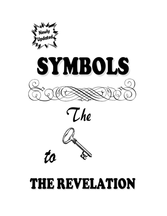





to

# THE REVELATION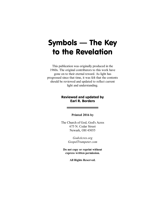# Symbols — The Key to the Revelation

This publication was originally produced in the 1960s. The original contributors to this work have gone on to their eternal reward. As light has progressed since that time, it was felt that the contents should be reviewed and updated to reflect current light and understanding.

#### **Reviewed and updated by Earl R. Borders**

#### **Printed 2016 by**

The Church of God, God's Acres 675 N. Cedar Street Newark, OH 43055

> *GodsAcres.org GospelTrumpeter.com*

**Do not copy or reprint without express written permission.**

**All Rights Reserved.**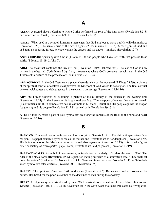# A

**ALTAR:** A sacred place, referring to where Christ performed the role of the high priest (Revelation 8:3-5) or a reference to Christ (Revelation 6:9; 11:1; Hebrews 13:8-10).

**ANGEL:** When used as a symbol, it means a messenger that God employs to carry out His will (the ministry; Revelation 1:20). The same is true of the devil's agents (2 Corinthians 11:13-15). Messengers of God and of Satan; as opposing forces, Michael versus the dragon and his angels—ministry (Revelation 12:7).

**ANTI-CHRISTS:** Spirits against Christ (1 John 4:1-3) and people who have left truth that possess these spirits (1 John 2:18-19; 2 John 7).

**ARK:** The chest that contained the law of God (Revelation 11:19; Hebrews 9:4). The law of God is now written in the heart (2 Corinthians 3:3). Also, it represents where God's presence met with man in the Old Testament; a picture of the presence of God (Exodus 25:21-22).

**ARMAGEDDON:** In the Old Testament a place where decisive battles occurred (2 Kings 23:29); a picture of the spiritual conflict of ecclesiastical powers; the Kingdom of God versus false religion. The final conflict between wickedness and righteousness in the seventh trumpet age (Revelation 16:14-16).

**ARMIES:** Forces resolved on subduing; a picture of the militancy of the church in the evening time (Revelation 19:14). In the Revelation it is spiritual warfare. "The weapons of our warfare are not carnal" (2 Corinthians 10:4). In symbols we see an example in Michael (Christ) and His people against the dragon (paganism) and his people (Revelation 12:7-8), as well as in Revelation 19:13-16.

**ATE:** To take in, make a part of you; symbolizes receiving the contents of the Book in the mind and heart (Revelation 10:10).

# B

**BABYLON:** This word means confusion and has its origin in Genesis 11:9. In Revelation it symbolizes false religion. The papal church is symbolized as the mother and Protestantism as her daughters (Revelation 17:5, 18). It is a symbol of the false churches on earth and also paganism (Revelation 16:13). It is called a "great city," consisting of "three parts": papal Rome, Protestantism, and paganism (Revelation 16:19).

**BALANCE SCALES:** A symbol of measurement; in Revelation particularly, of truth or the Word of God. The rider of the black horse (Revelation 6:5-6) is pictured meting out truth at a starvation rate. "They shall eat bread by weight" (Ezekiel 4:16). Notice Amos 8:11. True and false measure (Proverbs 11:1). A "false balance" symbolizes false doctrine (Proverbs 20:23; Revelation 6:5).

**BARLEY:** The opinions of men set forth as doctrine (Revelation 6:6). Barley was used as provender for horses, also bread for the poor; a symbol of the doctrines of men during the apostasy.

**BEAST:** A religious system established by men. Wild beasts denote the nature of these false religions and systems (Revelation 13:1, 11; 17:3). In Revelation 4:6-7 the word *beast* should be translated as "living crea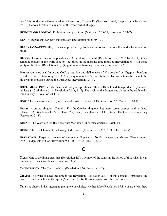ture." It is not the same Greek word as in Revelation, Chapter 13. (See also Ezekiel, Chapter 1.) In Revelation 5:8-10, the four beasts are a symbol of the redeemed of all ages.

**BINDING AND LOOSING:** Prohibiting and permitting (Matthew 16:18-19; Revelation 20:1-7).

**BLACK:** Represents darkness and apostasy (Revelation 8:12; 6:5-12).

**BLACK (AS SACKCLOTH):** Darkness produced by disobedience to truth that resulted in death (Revelation 6:12).

**BLOOD:** There are several applications: (1) the blood of Christ (Revelation 1:5; 5:9; 7:14; 12:11); (2) a symbolic picture of the work done by the blood in the morning-time message (Revelation 8:7); (3) those guilty of the blood (Revelation 8:8); (4) guiltiness of harming the saints (Revelation 17:6).

**BORNE ON EAGLES' WINGS:** God's protection and deliverance of His people from Egyptian bondage (Exodus 19:4; Deuteronomy 32:11). Also, a symbol of God's protection for His people to enable them to be hid away in seclusion during the Dark Ages (Revelation 12:14).

**BOTTOMLESSPIT:** Earthly, man-made, religious positions without a Bible foundation produced by a fallen ministry (1 Corinthians 3:11; Revelation 9:1-3; 11:7). The position the dragon was placed in by truth and a true ministry (Revelation 20:1-3).

**BOW:** The new covenant; also, an article of warfare (Genesis 9:13; Revelation 6:2; Zechariah 10:4).

**BRASS:** A strong kingdom (Daniel 2:32); the Grecian kingdom. Represents great strength and hardness (Daniel 10:6; Revelation 1:12-15; Daniel 7:9). Also, the authority of Christ to put His foot down on wrong (Revelation 2:18).

**BREAD:** The Word of God (true doctrine; Matthew 4:4) or false doctrine (Isaiah 4:1).

**BRIDE:** The true Church of the Living God on earth (Revelation 19:6-7; 21:9; John 3:27-29).

**BRIMSTONE:** Perpetual torment of the enemy (Revelation 20:10); denotes punishment (Deuteronomy 29:23); judgments of God (Revelation 9:17-18; 14:10; Luke 17:29-30).

# C

**CALF**: One of the living creatures (Revelation 4:7); a symbol of the saints in the period of time when it was necessary to die as sacrifices (Revelation 5:8-9).

**CANDLESTICK:** The Church of God (Revelation 1:20; Zechariah 4:2).

**CHAIN:** The word is used one time in the Revelation (Revelation 20:1). In this context it represents the power to bind, which is in the Spirit (Matthew 12:28-29). So, it symbolizes the Spirit of God.

**CITY:** A church in her aggregate (complete or whole), whether false (Revelation 17:18) or true (Matthew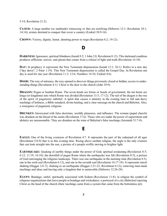5:14; Revelation 21:2).

**CLOUD:** A large number (or multitude) witnessing or that are testifying (Hebrews 12:1; Revelation 10:1; 14:14); armies destined to conquer that cover a country (Ezekiel 38:9-16).

**CROWN:** Victory, dignity, honor, denoting power to reign (Revelation 6:2; 19:12).

#### D

**DARKNESS:** Ignorance, spiritual blindness (Isaiah 9:2; 1 John 2:8; Revelation 8:12). This darkened condition produces affliction, sorrow, and gloom that comes from a refusal of light and truth (Revelation 16:10).

**DAY**: In prophecy it represents the New Testament dispensation (Isaiah 12:1; 26:1). Refers to a new day ("day dawn"; 2 Peter 1:19). This New Testament dispensation is called the Gospel Day. In Revelation one day is used for one year (Revelation 11:3; 12:6; Numbers 14:34; Ezekiel 4:6).

**DOOR**: The way of entrance, the way opened to discover things previously closed or hidden; access to understanding things (Revelation 4:1). Christ is the door to the church (John 10:9).

**DRAGON:** Pagan or heathen Rome. The seven heads are forms or heads of government; the ten horns are kings (or kingdoms) into which Rome was divided (Revelation 13:3; 17:12). The tail of the dragon is the rise of the spirit of paganistic unbelief. A spirit that causes a ministry in the evening time to fall and decry teachings of holiness, a Bible standard, divine healing, and a clear message on the church and Babylon. Also, a resurgence of paganistic religions.

**DRUNKEN:** Intoxicated with false doctrines, worldly pleasures, and influence. The woman (papal church) was drunken on the blood of the saints (Revelation 17:6). Those who are under the power of superstition and idolatry are unreasonable. They are drunken on the wine of Babylon's false teachings (Jeremiah 51:7-8).

#### E

**EAGLE:** One of the living creatures of Revelation 4:7. It represents the part of the redeemed of all ages (Revelation 5:8-9) that is in this evening time. Rising above earthen religion, the eagle is the only creature that can look straight into the sun, a picture of a people swiftly moving to brighter light.

**EARTHQUAKE:** Quaking of earthly things under the power of God; spiritual awakening (Revelation 8:5; 6:12; 11:19; 16:18); the downfall of pagan Rome where the earthquake was felt (Revelation 8:5); a picture of God rearranging the religious landscape. There was one earthquake in the morning time (Revelation 8:5), one in the sixth seal (Revelation 6:12), and one in the seventh seal (Revelation 16:17-18). It represents moral shaking (Haggai 2:6-7); shaking as an earthquake (Haggai 2:21-22; Revelation 6:12); removing man-made teachings and ideas and leaving only a kingdom that is unmovable (Hebrews 12:26-28).

**EGYPT:** Bondage; sinful; spiritually associated with Sodom (Revelation 11:8); in religion the symbol of religious organizations that leave people in bondage and wickedness; a portrayal of a city (Babylon) rejecting Christ as the head of the church (their teachings came from a system that came from the bottomless pit).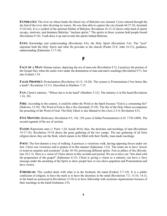**EUPHRATES:** The river on whose banks the literal city of Babylon was situated. Cyrus entered through the dry bed of the river after diverting its waters. He was then able to capture the city (Isaiah 44:27-28; Jeremiah 51:63-64). It is a symbol of the spiritual lifeline of Babylon. Revelation 16:12-14 shows what kind of spirits occupy, motivate, and dominate Babylon: "unclean spirits." The spirits in those systems hold people bound (Revelation 9:14). Truth dries it up and reveals the spirits behind Babylon.

**EYES:** Knowledge and understanding (Revelation 4:6); the Holy Spirit (Revelation 5:6). The "eyes" represent both the Holy Spirit and what He provides to the church (Psalm 32:8; John 16:13); guidance, understanding (Ephesians 1:17-18).

#### F

**FACE OF A MAN:** Human nature, depicting the era of man-rule (Revelation 4:7); it portrays the portion of the Gospel Day when the saints were under the domination of man and man's teachings (Revelation 9:7). See also Ezekiel 1:10.

**FALSE PROPHET:** Protestantism (Revelation 16:13; 19:20). The system is Protestantism ("two horns like a lamb"; Revelation 13:11). Described in Matthew 7:15.

**FAN:** Christ's ministry. "Whose fan is in his hand" (Matthew 3:12). The ministry is in His hand (Revelation 1:16, 20).

**FIRE:** According to the context, it could be either the Word or the Spirit because "God is a consuming fire" (Hebrews 12:29). The Word of God is like a fire (Jeremiah 23:29). The fire of the Holy Ghost accompanies the preaching of the Word of God. The Holy Ghost is also likened to fire (Acts 2:3-4; Revelation 4:5).

**FIVE MONTHS:** (Reference: Revelation 9:5, 10); 150 years of fallen Protestantism (A.D. 1730-1880). The second segment of the era of sectism.

**FLESH:** Represents man (1 Peter 1:24; Isaiah 40:6); thus, the doctrines and teachings of men (Revelation 19:17-18). Revelation 19:18 shows the great gathering of the two camps. The one gathering of all false religion shows they eat the flesh, which means to be filled with their fleshly, man-made teachings.

**FOOT:** The foot denotes a way of walking. It portrays a victorious walk, having opposing forces under our feet. Christ was victorious and is spoken of in this manner (Ephesians 1:22). The saints are to have "power to tread on serpents and scorpions" (Luke 10:19), portraying different spirits. Feet as pillars of fire (Revelation 10:1-3). Here is a vision of Christ shown in this seventh-seal period. We are to have our "feet shod with the preparation of the gospel" (Ephesians 6:15). Christ is giving a vision so a ministry can have a fiery message under the anointing of the Spirit to show people how to rise above papalism and Protestantism and have victory.

**FOREHEAD:** This symbol deals with what is in the forehead, the mind (Ezekiel 3:7-10). It is a public confession of religion; to have the mark is to have the doctrines in the mind (Revelation 7:3; 13:16; 14:1); in the hand (as portrayed in Revelation 13:16) is to have fellowship with sectarian organizations because of their teachings in the mind (Galatians 2:9).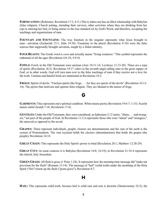**FORNICATION:** (Reference: Revelation 17:2, 4-5.) This is where one has an illicit relationship with Babylon (false religion). Church joining, attending their services, other activities where they are drinking from her cup or entering her bed, or being untrue to the true standard set by God's Word, and therefore, accepting the teachings and organizations of men.

**FOUNTAIN AND FOUNTAINS:** The true fountain in the singular represents what Jesus brought to man—salvation (Zechariah 13:1; John 19:34). Fountains in the plural (Revelation 8:10) were the false sources that supposedly brought salvation, taught by a fallen ministry.

**FOUR BEASTS:** The Greek word is *zoon* and actually means "living creatures." This symbol represents the redeemed of all the ages (Revelation 4:8-10; 5:8-9).

**FOWLS:** Fowls in the Old Testament were unclean (Acts 10:11-14; Leviticus 11:13-20). These are a type of spirits (Revelation 18:2). Revelation 19:17 refers to the seventh angel calling ones to the great supper of God, or in other words, God will turn men over to the false teachings of men if they receive not a love for the truth. Unclean and hateful birds are mentioned in Revelation  $18:2$ .

**FROGS:** Spirits of devils. "Unclean spirits like frogs . . . for they are spirits of the devils" (Revelation 16:13- 14). The spirits that motivate and operate false religion. They are likened to the nature of frogs.

# G

**GARMENTS:** This represents one's spiritual condition. White means purity (Revelation 19:6-7; 1:13). Scarlet means sinful (Isaiah 1:18; Revelation 17:4).

**GENTILES:** Under the Old Testament, they were considered, as Ephesians 2:12 states, "aliens . . . and strangers," not part of the people of God. In Revelation 11:2 it represents those who were "aliens" and "strangers," the unsaved as opposed to the saved.

**GRAPES:** These represent individuals, people; clusters are denominations and the vine of the earth is the system of Protestantism. The vine (system) holds the clusters (denominations) that holds the grapes (the people); Revelation 14:18.

**GREAT CHAIN:** This represents the Holy Spirit's power to bind (Revelation 20:1; Matthew 12:28-29).

**GREAT CITY:** In some contexts it is Babylon (Revelation 14:8; 16:19); in Revelation 21:10 it represents the church, holy Jerusalem.

**GREENGRASS:** All flesh is grass (1 Peter 1:24). It represents how the morning-time message did "make not provision for the flesh" (Romans 13:14). The message of "hail" (solid truth) under the anointing of the Holy Spirit ("fire") burnt up the flesh ("green grass"); Revelation 8:7.

#### H

**HAIL:** This represents solid truth, because hail is solid rain and rain is doctrine (Deuteronomy 32:2); the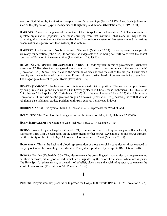Word of God falling by inspiration, sweeping away false teachings (Isaiah 28:17). Also, God's judgments, such as the plagues of Egypt, accompanied with lightning and thunder (Revelation 8:7; 11:19; 16:21).

**HARLOTS:** These are daughters of the mother of harlots spoken of in Revelation 17:5. The mother is an apostate organization (papalism), and those springing from that institution, that made an image to her, patterning after the mother are the harlot daughters (that religious system of Protestantism and the various denominational organizations that make up that system).

**HARVEST:** The harvesting of souls in the end of the world (Matthew 13:39). It also represents when people are ready for salvation (John 4:35). It portrays the judgments of God being set forth to harvest the honest souls out of Babylon in the evening time (Revelation 14:18; 19:15).

**HEADS (SEVEN) ON THE DRAGON AND THE BEAST:** Heads represent forms of government (Isaiah 9:6; Revelation 17:10). Also, the angel gave the interpretation: ". . . seven mountains on which the woman sitteth" (Revelation 17:9). Since Rome is called the seven-hilled city and was the seat of the dragon, it must mean that city and the empire ruled from that city. Rome had seven distinct heads of government in its pagan form. The dragon gave his seat to papal Rome (Revelation 13:2).

**HEAVEN (SYMBOLIC):** In the Revelation this is an exalted spiritual position. The woman occupied heaven by being "raised us up and made us to sit in heavenly places in Christ Jesus" (Ephesians 2:6). This is the "third heaven" Paul spoke of (2 Corinthians 12:1-5). It is the new heaven (2 Peter 3:13) that John saw in Revelation 21:1. We also see the great red dragon "in heaven" (Revelation 12:3), denoting the truth that false religion is also held in an exalted position, until truth exposes it and casts it down.

**HIDDEN MANNA:** This symbol, found in Revelation 2:17, represents the Word of God.

**HOLY CITY:** The Church of the Living God on earth (Revelation 20:9; 21:2; Hebrews 12:22-23).

**HOLY JERUSALEM:** The Church of God (Hebrews 12:22-23; Revelation 21:10).

**HORNS:** Power; kings or kingdoms (Daniel 8:21). The ten horns are ten kings or kingdoms (Daniel 7:24; Revelation 12:3; 13:1). Seven horns on the Lamb means perfect power (Revelation 5:6) and power throughout the entirety of the Gospel Day. All power of God is vested in Christ (Matthew 28:18).

**HORSEMEN:** This is the flesh and blood representation of those the spirits gave rise to, those engaged in carrying out what the prevailing spirit dictates. The systems produced by the spirits (Revelation 6:2-8).

**HORSES:** Warfare (Zechariah 10:3). They also represent the prevailing spirit giving rise to a people carrying out their purposes, either good or bad, which are designated by the color of the horse. White means purity (the Holy Spirit); red means sin, or the spirit of unbelief; black means the spirit of apostasy; pale means the spirit of compromise (Revelation 6:2-8; Zechariah 6:2-8).

#### I

**INCENSE:** Prayer; worship; preparation to preach the Gospel to the world (Psalm 141:2; Revelation 8:3-5).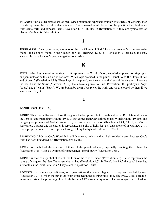**ISLANDS:** Various denominations of men. Since mountains represent worship or systems of worship, then islands represent the individual denominations. To be moved would be to lose the position they held when truth came forth and exposed them (Revelation 6:14; 16:20). In Revelation 6:16 they are symbolized as places of refuge for false religion.

#### J

**JERUSALEM:** The city in Judea, a symbol of the true Church of God. There is where God's name was to be found; and so it is found in the Church of God (Hebrews 12:22-23; Revelation 21:2); also, the only acceptable place for God's people to gather to worship.

# K

**KEYS:** When key is used in the singular, it represents the Word of God, knowledge; power to bring light, or open, unlock; or to shut up in darkness. When keys are used in the plural, Christ holds the "keys of hell and of death" (Revelation 1:18). These keys, in the plural, are the same as the keys of the kingdom. They are the Word and the Spirit (Matthew 16:19). Both have a power to bind. Revelation 20:1 portrays a "key" (Word) and a "chain" (Spirit). We are bound by them if we reject the truth, and we are loosed by them if we accept and obey it.

#### L

**LAMB:** Christ (John 1:29).

**LIGHT:** This is a multi-faceted term throughout the Scriptures, but to confine it to the Revelation, it means the light of "understanding" (Psalm 119:130) that comes from Christ through His Word (Psalm 119:105) and the glory or presence of God it produces by a people who put it on (Revelation 18:1; 21:11; 21:23). In Revelation, Chapter 21, the church is represented as a city of light, just as Jesus spoke of in Matthew 5:14. It is a people who have come together through taking the light of truth of His Word.

**LIGHTNING:** Light on God's Word. It is enlightenment, understanding, light suddenly seen because God's truth has been thundered out (Revelation 8:5; 16:18).

LINEN: A symbol of the spiritual clothing of the people of God, especially denoting their character (Revelation 19:6-7; 3:5); a symbol of righteousness, moral purity (Revelation 15:6).

**LION:** It is used as a symbol of Christ, the Lion of the tribe of Judah (Revelation 5:5). It also represents the nature of conquest the New Testament church had (Revelation 4:7). In Revelation 13:2 the papal beast has a "mouth as the mouth of a lion." They claim to speak for Christ.

**LOCUSTS:** False ministry, religions, or organizations that are a plague to society and headed by men (Revelation 9:3, 7). When the sun is up (truth preached in the evening time), they flee away. Cold, dead religion cannot stand the preaching of the truth. Nahum 3:17 shows the symbol of locusts is symbolic of leaders.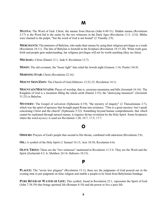# M

**MANNA:** The Word of God. Christ, the manna from Heaven (John 6:49-51). Hidden manna (Revelation 2:17) is the Word fed to the saints by the two witnesses in the Dark Ages (Revelation 11:3; 12:6). Bibles were chained to the pulpit, "but the word of God is not bound" (2 Timothy 2:9).

**MERCHANTS:** The ministers of Babylon, who make their money by using their religious privileges as a trade (Revelation 18:11). The fate of Babylon is foretold in the Scripture (Revelation 18:15-20). When truth goes forth and people gain understanding, her religious privileges will not be worth anything (they are false).

**MICHAEL:** Christ (Daniel 12:1; Jude 9; Revelation 12:7).

**MOON:** The old covenant, the "lesser light" that ruled the Jewish night (Genesis 1:16; Psalm 136:9).

**MORNING STAR:** Christ (Revelation 22:16).

**MOUNT SION/ZION:** The Church of God (Hebrews 12:22-23; Revelation 14:1).

**MOUNTAIN/MOUNTAINS:** Places of worship, that is, sectarian mountains and hills (Jeremiah 16:16). The Kingdom of God is a mountain filling the whole earth (Daniel 2:35); the "destroying mountain" (Jeremiah 51:25) is Babylon.

**MYSTERY:** The Gospel of salvation (Ephesians 6:19); "the mystery of iniquity" (2 Thessalonians 2:7), which was the spirit of apostasy that brought papal Rome into existence. "This is a great mystery: but I speak concerning Christ and the church" (Ephesians 5:32). Something beyond human comprehension; that which cannot be explained through natural means; it requires divine revelation by the Holy Spirit. Some Scriptures where the word *mystery* is used are Revelation 1:20; 10:7; 17:5; 17:7.

# O

**ODOURS:** Prayers of God's people that ascend to His throne, combined with adoration (Revelation 5:8).

**OIL**: A symbol of the Holy Spirit (1 Samuel 16:13; Acts 10:38; Revelation 6:6).

**OLIVE TREES:** These are the "two witnesses" mentioned in Revelation 11:3-4. They are the Word and the Spirit (Zechariah 4:3, 6; Matthew 24:14; Hebrews 10:15).

#### P

**PLAGUE:** The "seven last plagues" (Revelation 15:1); these are the judgments of God poured out in the evening time to put judgment on false religion and enable a people to be freed from Babylonian bondage.

**PURE RIVER OF WATER OF LIFE:** This symbol, found in Revelation 22:1, represents the Spirit of God (John 7:38-39) that brings spiritual life (Romans 8:10) and the power to live a pure life.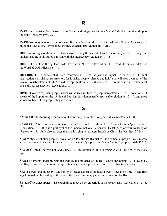# R

**RAIN:** Pure doctrine from heaven that refreshes and brings peace to man's soul. "My doctrine shall drop as the rain" (Deuteronomy 32:2).

**RAINBOW:** A symbol of God's covenant. It is an allusion to the covenant made with Noah in Genesis 9:13, but in the Revelation, it symbolizes the new covenant (Revelation 4:3; 10:1).

**REAP**: A portrayal of the sickle of God's Word reaping the harvest of saints out of Babylon. An evening-time ministry getting souls out of Babylon with the message (Revelation 14:14-18).

**REED:** The Bible is the "golden reed" (Revelation 21:15); in Revelation 11:1 ("reed like unto a rod"); it is the Word of God (Micah 6:9; 7:14).

**RESURRECTION:** "There shall be a resurrection . . . of the just and unjust" (Acts 24:15). The first resurrection is a spiritual resurrection, for it makes people "blessed and holy" and will keep them out of the lake of fire (Revelation 20:6). Adam died a spiritual death first (Genesis 2:17), so the first resurrection must be a spiritual resurrection (Revelation 2:11).

**RIVERS:** Waters represent people; rivers symbolize multitudes of people (Revelation 17:15). Revelation 9:14 speaks of the Euphrates, the life-line of Babylon; it is dominated by spirits (Revelation 16:12-14), and these spirits are back of the people; they are within.

#### S

**SACKCLOTH:** Mourning over the loss of something desirable or of great value (Revelation 11:3).

**SCARLET:** This represents sinfulness (Isaiah 1:18) and also the color of one who is a "great whore" (Revelation 17:1, 4); it is a portrayal of her immoral behavior, a spiritual harlot. A color worn by Babylon (Revelation 17:4-5). It also portrays that she is trying to represent herself as Christlike (Matthew 27:28).

**SEA**: Waters symbolize people (Revelation 17:15); the sea (Daniel 7:3) is a symbol of people. Sea is merely a massive amount of water, hence a massive amount of people; specifically "wicked" people (Isaiah 57:20).

**SEA OF GLASS:** The Word of God (James 1:23; Revelation 15:2). It is "mingled with [the] fire" of the Holy Spirit.

**SEAL**: To impress indelibly with the truth by the influence of the Holy Ghost (Ephesians 4:30); sealed by the Holy Ghost; also, the same interpretation is given in Ephesians 1:12-13. See also Revelation 7:2.

**SEAT:** Power and authority. The center of ecclesiastical or political power (Revelation 13:2). "The fifth angel poured out his vial upon the seat of the beast," meaning papalism (Revelation 16:10).

**SEVEN CANDLESTICKS:** The church throughout the seven periods of the Gospel Day (Revelation 1:12-13, 20).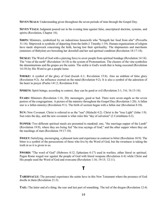**SEVEN SEALS:** Understanding given throughout the seven periods of time through the Gospel Day.

**SEVEN VIALS:** Judgment poured out in the evening time against false, unscriptural doctrine, systems, and spirits (Revelation, Chapter 16).

**SHIPS:** Ministers, symbolized by an industrious housewife who "bringeth her food from afar" (Proverbs 31:14). Shipwreck is symbolic of departing from the faith (1 Timothy 1:19). Human organizations of religion have made shipwreck concerning the faith, having lost their spirituality. The shipmasters and merchants (ministers of Babylon) are bewailing her downfall and her sad spiritual condition (Revelation 18:17-18).

**SICKLE:** The Word of God with a piercing force to sever people from spiritual bondage (Revelation 14:14). The "vine of the earth" (Revelation 14:18) is the system of Protestantism. The clusters of the vine symbolize the denominations and the grapes are the saints. The sickle is God's wrath that is being executed (Revelation 14:19) by His Word to get a people loose.

**SMOKE:** A symbol of the glory of God (Isaiah 6:1; Revelation 15:8). Also an emblem of false glory (Revelation 9:2). An influence exerted on the mind (Revelation 9:2). It is also a symbol of the adoration of the heart in prayer (Psalm 141:2; Revelation 8:4).

**SPIRITS:** Spirit beings; according to context, they can be good or evil (Revelation 3:1; 5:6; 16:13-14).

**STARS:** Ministers (Revelation 1:16, 20); messengers, good or bad. There were seven angels as the seven pastors of the congregations. A picture of the ministry throughout the Gospel Day (Revelation 1:20). A fallen star is a fallen ministry (Revelation 9:1). The birth of sectism began with a fallen star (Revelation 8:10).

**SUN:** New Covenant. Christ is referred to as the "sun" (Malachi 4:2). Christ is the "true Light" (John 1:9). Sun rules the day, and the new covenant is what rules this "day of salvation" (2 Corinthians 6:2).

**SUPPER:** Two different spiritual meals are presented to mankind: one, "the marriage supper of the Lamb" (Revelation 19:9), where they are being fed "the true sayings of God," and the other supper where they eat the teachings of men (Revelation 19:17-18).

**SWEET:** Satisfying, encouraging, a pleasant taste and experience in contrast to bitter (Revelation 10:9). The bitter is a symbol of the persecutions of those who live by the Word of God, but the sweetness is taking the truth in as it is given to us.

**SWORD:** "The word of God" (Hebrews 4:12; Ephesians 6:17) used in warfare, either literal or spiritual. Pagan Rome waged war against the people of God with literal weapons (Revelation 6:4) while Christ and His people used the Word of God and overcame (Revelation 1:16; 19:15; 12:11).

#### T

**TABERNACLE:** The personal experience the saints have in this New Testament where the presence of God dwells in them (Revelation 21:3).

**TAIL**: The latter end of a thing; the rear and last part of something. The tail of the dragon (Revelation 12:4)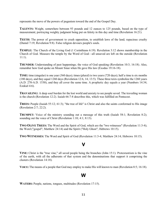represents the move of the powers of paganism toward the end of the Gospel Day.

**TALENTS:** Weight, somewhere between 93 pounds and 12 ounces to 125 pounds, based on the type of measurement; portraying weighty judgment being put on falsity in this day and time (Revelation 16:21).

**TEETH:** The power of government to crush opposition, to establish laws of the land; rapacious cruelty (Daniel 7:19; Revelation 9:8). False religion devours people's souls.

**TEMPLE:** The Church of the Living God (1 Corinthians 6:19). Revelation 3:12 shows membership in the Church of God. Measure the temple by the Word of God—all unsaved are left on the outside (Revelation 11:1).

**THUNDER:** Understanding of past happenings; the voice of God speaking (Revelation 10:3; 16:18). Also, remember how God spoke on Mount Sinai when He gave His law (Exodus 19:16-18).

**TIME:** time (singular) is one year (360 days); times (plural) is two years (720 days); half a time is six months (180 days), and they equal 1260 days (Revelation 12:6, 14; 13:5). These three texts symbolize the 1260 years (A.D. 270-A.D. 1530), and they all cover the same time. A prophetic day equals a year (Numbers 14:34; Ezekiel 4:6).

**TRAVAILING:** A deep soul burden for the lost world and anxiety to see people saved. The travailing woman is the church (Revelation 12:2). Isaiah 66:7-8 describes this, which was fulfilled on Pentecost.

**TREES:** People (Isaiah 55:12; 61:3); "the tree of life" is Christ and also the saints conformed to His image (Revelation 2:7; 22:2).

**TRUMPET:** Voice of the ministry sounding out a message of this truth (Isaiah 58:1; Revelation 8:2); sounding out the voice of Christ (Revelation 1:10; 4:1; 8:13).

**TWO OLIVE TREES:** The Word and the Spirit of God, which are the "two witnesses" (Revelation 11:3-4); the Word ("gospel"; Matthew 24:14) and the Spirit ("Holy Ghost"; Hebrews 10:15).

**TWO WITNESSES:** The Word and Spirit of God (Revelation 11:3-4; Matthew 24:14; Hebrews 10:15).

# V

**VINE:** Christ is the "true vine," all saved people being the branches (John 15:1). Protestantism is the vine of the earth, with all the adherents of that system and the denominations that support it comprising the clusters (Revelation 14:18).

**VOICE:**The means of a people that God may employ to make His will known to man (Revelation 8:5; 16:18).

#### W

**WATERS:** People, nations, tongues, multitudes (Revelation 17:15).